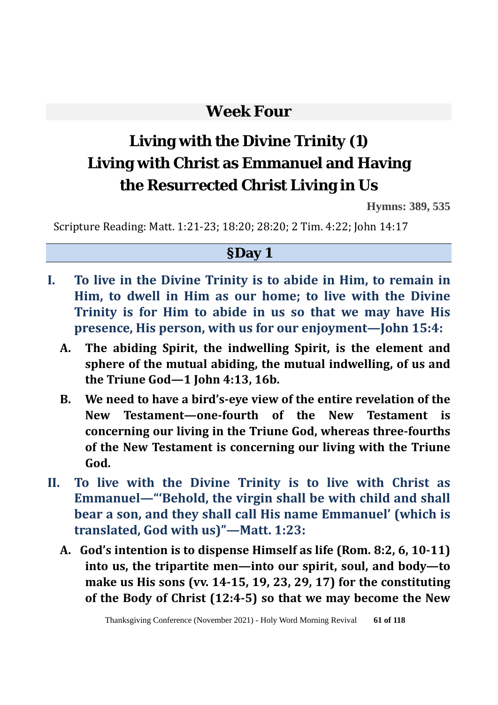#### **Week Four**

# **Living with the Divine Trinity (1) Living with Christ as Emmanuel and Having the Resurrected Christ Living in Us**

**Hymns: 389, 535** 

Scripture Reading: Matt. 1:21-23; 18:20; 28:20; 2 Tim. 4:22; John 14:17

- **I. To live in the Divine Trinity is to abide in Him, to remain in Him, to dwell in Him as our home; to live with the Divine Trinity is for Him to abide in us so that we may have His presence, His person, with us for our enjoyment—John 15:4:**
	- **A. The abiding Spirit, the indwelling Spirit, is the element and sphere of the mutual abiding, the mutual indwelling, of us and the Triune God—1 John 4:13, 16b.**
	- **B. We need to have a bird's-eye view of the entire revelation of the New Testament—one-fourth of the New Testament is concerning our living in the Triune God, whereas three-fourths of the New Testament is concerning our living with the Triune God.**
- **II. To live with the Divine Trinity is to live with Christ as Emmanuel—"'Behold, the virgin shall be with child and shall bear a son, and they shall call His name Emmanuel' (which is translated, God with us)"—Matt. 1:23:**
	- **A. God's intention is to dispense Himself as life (Rom. 8:2, 6, 10-11) into us, the tripartite men—into our spirit, soul, and body—to make us His sons (vv. 14-15, 19, 23, 29, 17) for the constituting of the Body of Christ (12:4-5) so that we may become the New**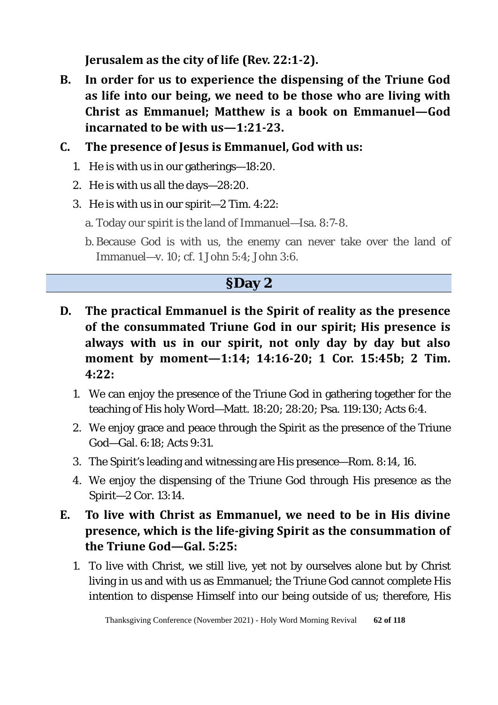**Jerusalem as the city of life (Rev. 22:1-2).** 

- **B. In order for us to experience the dispensing of the Triune God as life into our being, we need to be those who are living with Christ as Emmanuel; Matthew is a book on Emmanuel—God incarnated to be with us—1:21-23.**
- **C. The presence of Jesus is Emmanuel, God with us:**
	- 1. He is with us in our gatherings—18:20.
	- 2. He is with us all the days—28:20.
	- 3. He is with us in our spirit—2 Tim. 4:22:
		- a. Today our spirit is the land of Immanuel—Isa. 8:7-8.
		- b. Because God is with us, the enemy can never take over the land of Immanuel—v. 10; cf. 1 John 5:4; John 3:6.

- **D. The practical Emmanuel is the Spirit of reality as the presence of the consummated Triune God in our spirit; His presence is always with us in our spirit, not only day by day but also moment by moment—1:14; 14:16-20; 1 Cor. 15:45b; 2 Tim. 4:22:** 
	- 1. We can enjoy the presence of the Triune God in gathering together for the teaching of His holy Word—Matt. 18:20; 28:20; Psa. 119:130; Acts 6:4.
	- 2. We enjoy grace and peace through the Spirit as the presence of the Triune God—Gal. 6:18; Acts 9:31.
	- 3. The Spirit's leading and witnessing are His presence—Rom. 8:14, 16.
	- 4. We enjoy the dispensing of the Triune God through His presence as the Spirit—2 Cor. 13:14.
- **E. To live with Christ as Emmanuel, we need to be in His divine presence, which is the life-giving Spirit as the consummation of the Triune God—Gal. 5:25:** 
	- 1. To live with Christ, we still live, yet not by ourselves alone but by Christ living in us and with us as Emmanuel; the Triune God cannot complete His intention to dispense Himself into our being outside of us; therefore, His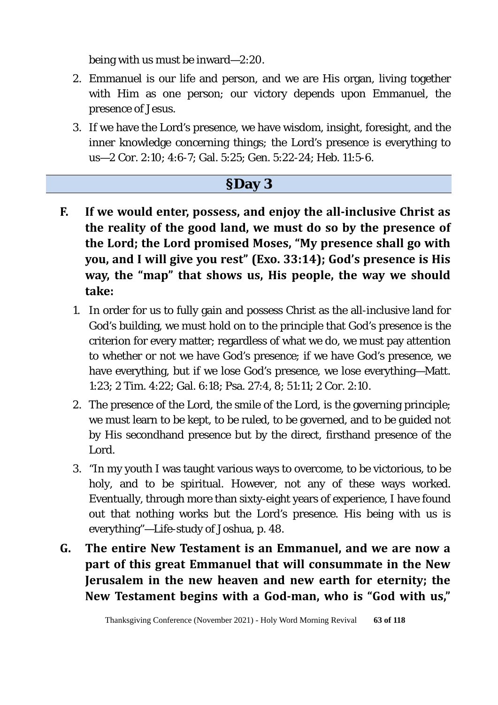being with us must be inward—2:20.

- 2. Emmanuel is our life and person, and we are His organ, living together with Him as one person; our victory depends upon Emmanuel, the presence of Jesus.
- 3. If we have the Lord's presence, we have wisdom, insight, foresight, and the inner knowledge concerning things; the Lord's presence is everything to us—2 Cor. 2:10; 4:6-7; Gal. 5:25; Gen. 5:22-24; Heb. 11:5-6.

- **F. If we would enter, possess, and enjoy the all-inclusive Christ as the reality of the good land, we must do so by the presence of the Lord; the Lord promised Moses, "My presence shall go with you, and I will give you rest" (Exo. 33:14); God's presence is His way, the "map" that shows us, His people, the way we should take:**
	- 1. In order for us to fully gain and possess Christ as the all-inclusive land for God's building, we must hold on to the principle that God's presence is the criterion for every matter; regardless of what we do, we must pay attention to whether or not we have God's presence; if we have God's presence, we have everything, but if we lose God's presence, we lose everything—Matt. 1:23; 2 Tim. 4:22; Gal. 6:18; Psa. 27:4, 8; 51:11; 2 Cor. 2:10.
	- 2. The presence of the Lord, the smile of the Lord, is the governing principle; we must learn to be kept, to be ruled, to be governed, and to be guided not by His secondhand presence but by the direct, firsthand presence of the Lord.
	- 3. "In my youth I was taught various ways to overcome, to be victorious, to be holy, and to be spiritual. However, not any of these ways worked. Eventually, through more than sixty-eight years of experience, I have found out that nothing works but the Lord's presence. His being with us is everything"—Life-study of Joshua, p. 48.
- **G. The entire New Testament is an Emmanuel, and we are now a part of this great Emmanuel that will consummate in the New Jerusalem in the new heaven and new earth for eternity; the New Testament begins with a God-man, who is "God with us,"**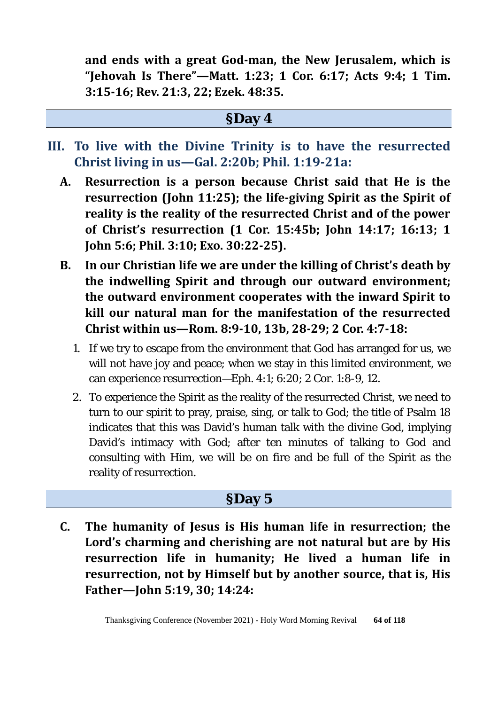**and ends with a great God-man, the New Jerusalem, which is "Jehovah Is There"—Matt. 1:23; 1 Cor. 6:17; Acts 9:4; 1 Tim. 3:15-16; Rev. 21:3, 22; Ezek. 48:35.** 

#### **§Day 4**

- **III. To live with the Divine Trinity is to have the resurrected Christ living in us—Gal. 2:20b; Phil. 1:19-21a:** 
	- **A. Resurrection is a person because Christ said that He is the resurrection (John 11:25); the life-giving Spirit as the Spirit of reality is the reality of the resurrected Christ and of the power of Christ's resurrection (1 Cor. 15:45b; John 14:17; 16:13; 1 John 5:6; Phil. 3:10; Exo. 30:22-25).**
	- **B. In our Christian life we are under the killing of Christ's death by the indwelling Spirit and through our outward environment; the outward environment cooperates with the inward Spirit to kill our natural man for the manifestation of the resurrected Christ within us—Rom. 8:9-10, 13b, 28-29; 2 Cor. 4:7-18:** 
		- 1. If we try to escape from the environment that God has arranged for us, we will not have joy and peace; when we stay in this limited environment, we can experience resurrection—Eph. 4:1; 6:20; 2 Cor. 1:8-9, 12.
		- 2. To experience the Spirit as the reality of the resurrected Christ, we need to turn to our spirit to pray, praise, sing, or talk to God; the title of Psalm 18 indicates that this was David's human talk with the divine God, implying David's intimacy with God; after ten minutes of talking to God and consulting with Him, we will be on fire and be full of the Spirit as the reality of resurrection.

#### **§Day 5**

**C. The humanity of Jesus is His human life in resurrection; the Lord's charming and cherishing are not natural but are by His resurrection life in humanity; He lived a human life in resurrection, not by Himself but by another source, that is, His Father—John 5:19, 30; 14:24:**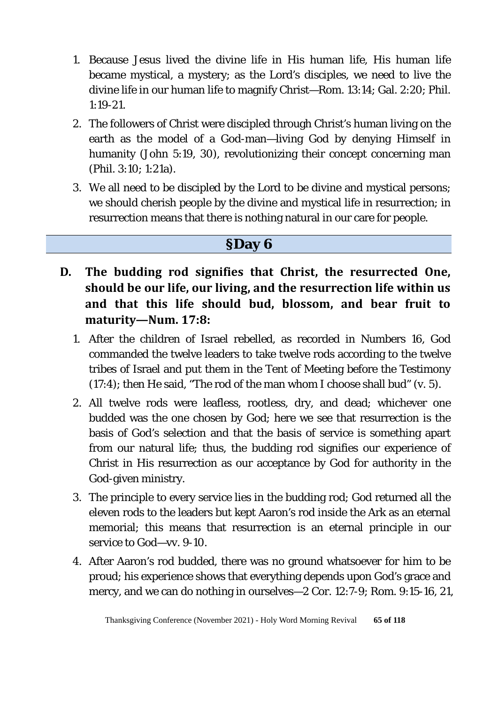- 1. Because Jesus lived the divine life in His human life, His human life became mystical, a mystery; as the Lord's disciples, we need to live the divine life in our human life to magnify Christ—Rom. 13:14; Gal. 2:20; Phil. 1:19-21.
- 2. The followers of Christ were discipled through Christ's human living on the earth as the model of a God-man—living God by denying Himself in humanity (John 5:19, 30), revolutionizing their concept concerning man (Phil. 3:10; 1:21a).
- 3. We all need to be discipled by the Lord to be divine and mystical persons; we should cherish people by the divine and mystical life in resurrection; in resurrection means that there is nothing natural in our care for people.

- **D. The budding rod signifies that Christ, the resurrected One, should be our life, our living, and the resurrection life within us and that this life should bud, blossom, and bear fruit to maturity—Num. 17:8:** 
	- 1. After the children of Israel rebelled, as recorded in Numbers 16, God commanded the twelve leaders to take twelve rods according to the twelve tribes of Israel and put them in the Tent of Meeting before the Testimony (17:4); then He said, "The rod of the man whom I choose shall bud" (v. 5).
	- 2. All twelve rods were leafless, rootless, dry, and dead; whichever one budded was the one chosen by God; here we see that resurrection is the basis of God's selection and that the basis of service is something apart from our natural life; thus, the budding rod signifies our experience of Christ in His resurrection as our acceptance by God for authority in the God-given ministry.
	- 3. The principle to every service lies in the budding rod; God returned all the eleven rods to the leaders but kept Aaron's rod inside the Ark as an eternal memorial; this means that resurrection is an eternal principle in our service to God—vv. 9-10.
	- 4. After Aaron's rod budded, there was no ground whatsoever for him to be proud; his experience shows that everything depends upon God's grace and mercy, and we can do nothing in ourselves—2 Cor. 12:7-9; Rom. 9:15-16, 21,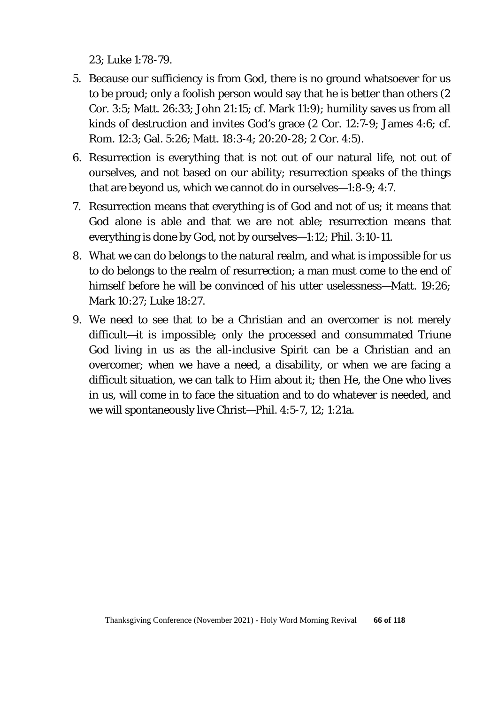23; Luke 1:78-79.

- 5. Because our sufficiency is from God, there is no ground whatsoever for us to be proud; only a foolish person would say that he is better than others (2 Cor. 3:5; Matt. 26:33; John 21:15; cf. Mark 11:9); humility saves us from all kinds of destruction and invites God's grace (2 Cor. 12:7-9; James 4:6; cf. Rom. 12:3; Gal. 5:26; Matt. 18:3-4; 20:20-28; 2 Cor. 4:5).
- 6. Resurrection is everything that is not out of our natural life, not out of ourselves, and not based on our ability; resurrection speaks of the things that are beyond us, which we cannot do in ourselves—1:8-9; 4:7.
- 7. Resurrection means that everything is of God and not of us; it means that God alone is able and that we are not able; resurrection means that everything is done by God, not by ourselves—1:12; Phil. 3:10-11.
- 8. What we can do belongs to the natural realm, and what is impossible for us to do belongs to the realm of resurrection; a man must come to the end of himself before he will be convinced of his utter uselessness—Matt. 19:26; Mark 10:27; Luke 18:27.
- 9. We need to see that to be a Christian and an overcomer is not merely difficult—it is impossible; only the processed and consummated Triune God living in us as the all-inclusive Spirit can be a Christian and an overcomer; when we have a need, a disability, or when we are facing a difficult situation, we can talk to Him about it; then He, the One who lives in us, will come in to face the situation and to do whatever is needed, and we will spontaneously live Christ—Phil. 4:5-7, 12; 1:21a.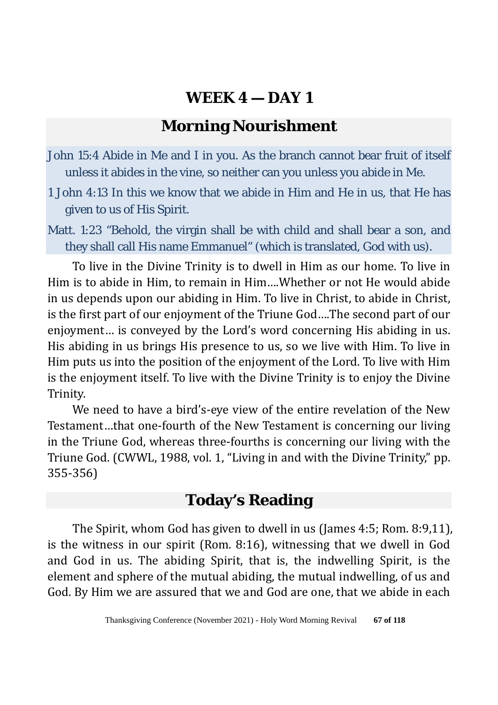#### **Morning Nourishment**

- John 15:4 Abide in Me and I in you. As the branch cannot bear fruit of itself unless it abides in the vine, so neither can you unless you abide in Me.
- 1 John 4:13 In this we know that we abide in Him and He in us, that He has given to us of His Spirit.
- Matt. 1:23 "Behold, the virgin shall be with child and shall bear a son, and they shall call His name Emmanuel" (which is translated, God with us).

To live in the Divine Trinity is to dwell in Him as our home. To live in Him is to abide in Him, to remain in Him….Whether or not He would abide in us depends upon our abiding in Him. To live in Christ, to abide in Christ, is the first part of our enjoyment of the Triune God….The second part of our enjoyment… is conveyed by the Lord's word concerning His abiding in us. His abiding in us brings His presence to us, so we live with Him. To live in Him puts us into the position of the enjoyment of the Lord. To live with Him is the enjoyment itself. To live with the Divine Trinity is to enjoy the Divine Trinity.

We need to have a bird's-eye view of the entire revelation of the New Testament…that one-fourth of the New Testament is concerning our living in the Triune God, whereas three-fourths is concerning our living with the Triune God. (CWWL, 1988, vol. 1, "Living in and with the Divine Trinity," pp. 355-356)

### **Today's Reading**

The Spirit, whom God has given to dwell in us (James 4:5; Rom. 8:9,11), is the witness in our spirit (Rom. 8:16), witnessing that we dwell in God and God in us. The abiding Spirit, that is, the indwelling Spirit, is the element and sphere of the mutual abiding, the mutual indwelling, of us and God. By Him we are assured that we and God are one, that we abide in each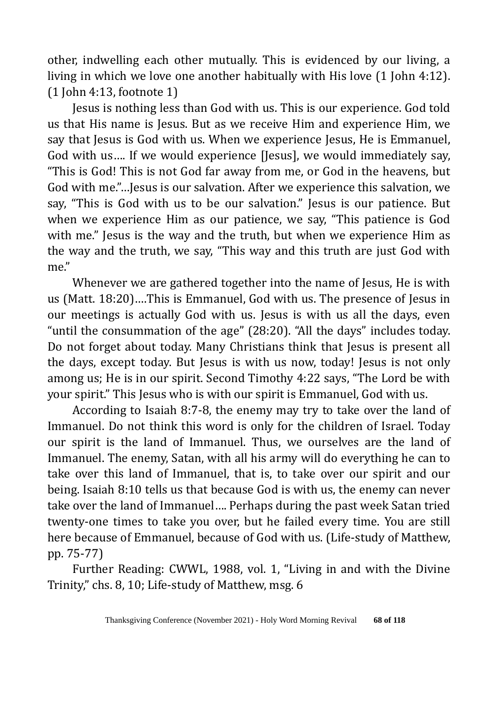other, indwelling each other mutually. This is evidenced by our living, a living in which we love one another habitually with His love (1 John 4:12). (1 John 4:13, footnote 1)

Jesus is nothing less than God with us. This is our experience. God told us that His name is Jesus. But as we receive Him and experience Him, we say that Jesus is God with us. When we experience Jesus, He is Emmanuel, God with us…. If we would experience [Jesus], we would immediately say, "This is God! This is not God far away from me, or God in the heavens, but God with me."…Jesus is our salvation. After we experience this salvation, we say, "This is God with us to be our salvation." Jesus is our patience. But when we experience Him as our patience, we say, "This patience is God with me." Jesus is the way and the truth, but when we experience Him as the way and the truth, we say, "This way and this truth are just God with me."

Whenever we are gathered together into the name of Jesus, He is with us (Matt. 18:20)….This is Emmanuel, God with us. The presence of Jesus in our meetings is actually God with us. Jesus is with us all the days, even "until the consummation of the age" (28:20). "All the days" includes today. Do not forget about today. Many Christians think that Jesus is present all the days, except today. But Jesus is with us now, today! Jesus is not only among us; He is in our spirit. Second Timothy 4:22 says, "The Lord be with your spirit." This Jesus who is with our spirit is Emmanuel, God with us.

According to Isaiah 8:7-8, the enemy may try to take over the land of Immanuel. Do not think this word is only for the children of Israel. Today our spirit is the land of Immanuel. Thus, we ourselves are the land of Immanuel. The enemy, Satan, with all his army will do everything he can to take over this land of Immanuel, that is, to take over our spirit and our being. Isaiah 8:10 tells us that because God is with us, the enemy can never take over the land of Immanuel…. Perhaps during the past week Satan tried twenty-one times to take you over, but he failed every time. You are still here because of Emmanuel, because of God with us. (Life-study of Matthew, pp. 75-77)

Further Reading: CWWL, 1988, vol. 1, "Living in and with the Divine Trinity," chs. 8, 10; Life-study of Matthew, msg. 6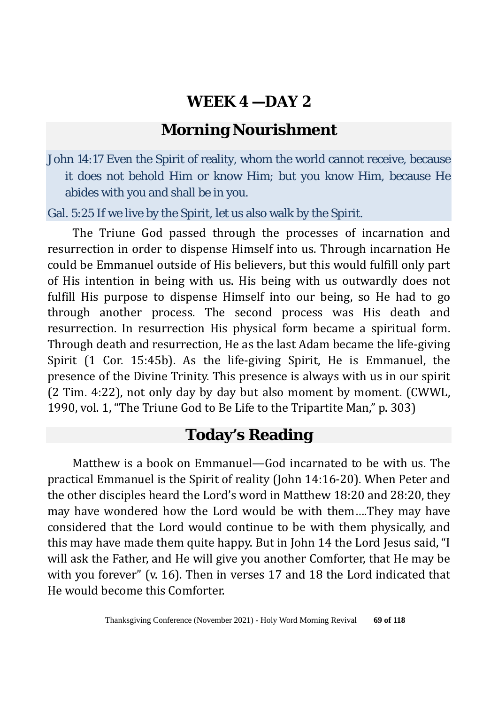### **Morning Nourishment**

John 14:17 Even the Spirit of reality, whom the world cannot receive, because it does not behold Him or know Him; but you know Him, because He abides with you and shall be in you.

Gal. 5:25 If we live by the Spirit, let us also walk by the Spirit.

The Triune God passed through the processes of incarnation and resurrection in order to dispense Himself into us. Through incarnation He could be Emmanuel outside of His believers, but this would fulfill only part of His intention in being with us. His being with us outwardly does not fulfill His purpose to dispense Himself into our being, so He had to go through another process. The second process was His death and resurrection. In resurrection His physical form became a spiritual form. Through death and resurrection, He as the last Adam became the life-giving Spirit (1 Cor. 15:45b). As the life-giving Spirit, He is Emmanuel, the presence of the Divine Trinity. This presence is always with us in our spirit (2 Tim. 4:22), not only day by day but also moment by moment. (CWWL, 1990, vol. 1, "The Triune God to Be Life to the Tripartite Man," p. 303)

#### **Today's Reading**

Matthew is a book on Emmanuel—God incarnated to be with us. The practical Emmanuel is the Spirit of reality (John 14:16-20). When Peter and the other disciples heard the Lord's word in Matthew 18:20 and 28:20, they may have wondered how the Lord would be with them….They may have considered that the Lord would continue to be with them physically, and this may have made them quite happy. But in John 14 the Lord Jesus said, "I will ask the Father, and He will give you another Comforter, that He may be with you forever" (v. 16). Then in verses 17 and 18 the Lord indicated that He would become this Comforter.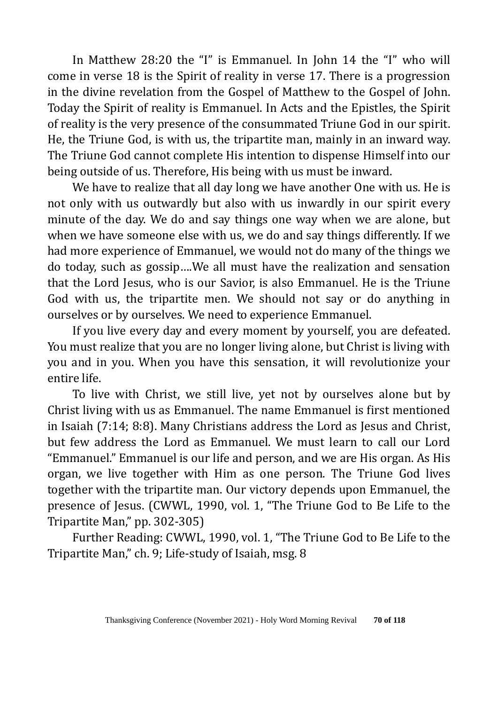In Matthew 28:20 the "I" is Emmanuel. In John 14 the "I" who will come in verse 18 is the Spirit of reality in verse 17. There is a progression in the divine revelation from the Gospel of Matthew to the Gospel of John. Today the Spirit of reality is Emmanuel. In Acts and the Epistles, the Spirit of reality is the very presence of the consummated Triune God in our spirit. He, the Triune God, is with us, the tripartite man, mainly in an inward way. The Triune God cannot complete His intention to dispense Himself into our being outside of us. Therefore, His being with us must be inward.

We have to realize that all day long we have another One with us. He is not only with us outwardly but also with us inwardly in our spirit every minute of the day. We do and say things one way when we are alone, but when we have someone else with us, we do and say things differently. If we had more experience of Emmanuel, we would not do many of the things we do today, such as gossip….We all must have the realization and sensation that the Lord Jesus, who is our Savior, is also Emmanuel. He is the Triune God with us, the tripartite men. We should not say or do anything in ourselves or by ourselves. We need to experience Emmanuel.

If you live every day and every moment by yourself, you are defeated. You must realize that you are no longer living alone, but Christ is living with you and in you. When you have this sensation, it will revolutionize your entire life.

To live with Christ, we still live, yet not by ourselves alone but by Christ living with us as Emmanuel. The name Emmanuel is first mentioned in Isaiah (7:14; 8:8). Many Christians address the Lord as Jesus and Christ, but few address the Lord as Emmanuel. We must learn to call our Lord "Emmanuel." Emmanuel is our life and person, and we are His organ. As His organ, we live together with Him as one person. The Triune God lives together with the tripartite man. Our victory depends upon Emmanuel, the presence of Jesus. (CWWL, 1990, vol. 1, "The Triune God to Be Life to the Tripartite Man," pp. 302-305)

Further Reading: CWWL, 1990, vol. 1, "The Triune God to Be Life to the Tripartite Man," ch. 9; Life-study of Isaiah, msg. 8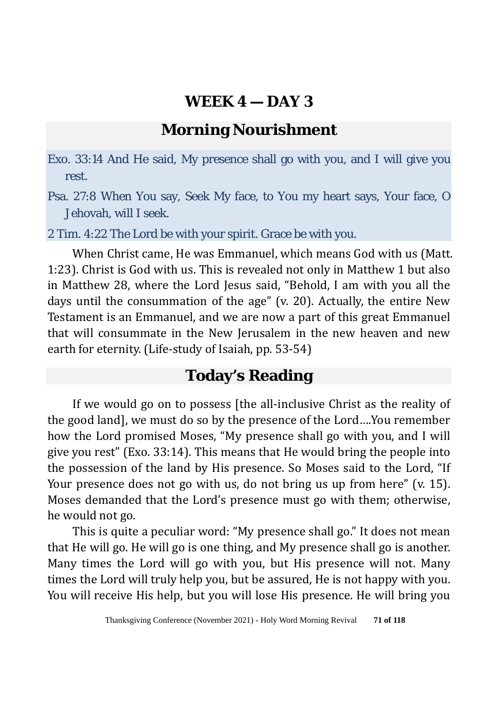### **Morning Nourishment**

- Exo. 33:14 And He said, My presence shall go with you, and I will give you rest.
- Psa. 27:8 When You say, Seek My face, to You my heart says, Your face, O Jehovah, will I seek.

2 Tim. 4:22 The Lord be with your spirit. Grace be with you.

When Christ came, He was Emmanuel, which means God with us (Matt. 1:23). Christ is God with us. This is revealed not only in Matthew 1 but also in Matthew 28, where the Lord Jesus said, "Behold, I am with you all the days until the consummation of the age" (v. 20). Actually, the entire New Testament is an Emmanuel, and we are now a part of this great Emmanuel that will consummate in the New Jerusalem in the new heaven and new earth for eternity. (Life-study of Isaiah, pp. 53-54)

#### **Today's Reading**

If we would go on to possess [the all-inclusive Christ as the reality of the good land], we must do so by the presence of the Lord….You remember how the Lord promised Moses, "My presence shall go with you, and I will give you rest" (Exo. 33:14). This means that He would bring the people into the possession of the land by His presence. So Moses said to the Lord, "If Your presence does not go with us, do not bring us up from here" (v. 15). Moses demanded that the Lord's presence must go with them; otherwise, he would not go.

This is quite a peculiar word: "My presence shall go." It does not mean that He will go. He will go is one thing, and My presence shall go is another. Many times the Lord will go with you, but His presence will not. Many times the Lord will truly help you, but be assured, He is not happy with you. You will receive His help, but you will lose His presence. He will bring you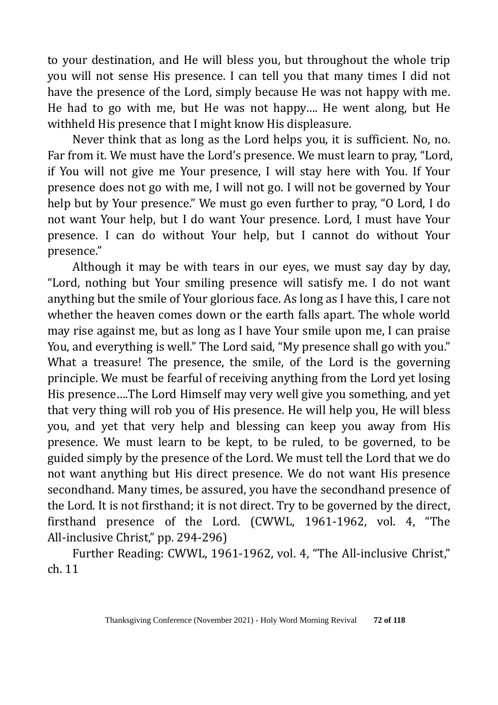to your destination, and He will bless you, but throughout the whole trip you will not sense His presence. I can tell you that many times I did not have the presence of the Lord, simply because He was not happy with me. He had to go with me, but He was not happy…. He went along, but He withheld His presence that I might know His displeasure.

Never think that as long as the Lord helps you, it is sufficient. No, no. Far from it. We must have the Lord's presence. We must learn to pray, "Lord, if You will not give me Your presence, I will stay here with You. If Your presence does not go with me, I will not go. I will not be governed by Your help but by Your presence." We must go even further to pray, "O Lord, I do not want Your help, but I do want Your presence. Lord, I must have Your presence. I can do without Your help, but I cannot do without Your presence."

Although it may be with tears in our eyes, we must say day by day, "Lord, nothing but Your smiling presence will satisfy me. I do not want anything but the smile of Your glorious face. As long as I have this, I care not whether the heaven comes down or the earth falls apart. The whole world may rise against me, but as long as I have Your smile upon me, I can praise You, and everything is well." The Lord said, "My presence shall go with you." What a treasure! The presence, the smile, of the Lord is the governing principle. We must be fearful of receiving anything from the Lord yet losing His presence….The Lord Himself may very well give you something, and yet that very thing will rob you of His presence. He will help you, He will bless you, and yet that very help and blessing can keep you away from His presence. We must learn to be kept, to be ruled, to be governed, to be guided simply by the presence of the Lord. We must tell the Lord that we do not want anything but His direct presence. We do not want His presence secondhand. Many times, be assured, you have the secondhand presence of the Lord. It is not firsthand; it is not direct. Try to be governed by the direct, firsthand presence of the Lord. (CWWL, 1961-1962, vol. 4, "The All-inclusive Christ," pp. 294-296)

Further Reading: CWWL, 1961-1962, vol. 4, "The All-inclusive Christ," ch. 11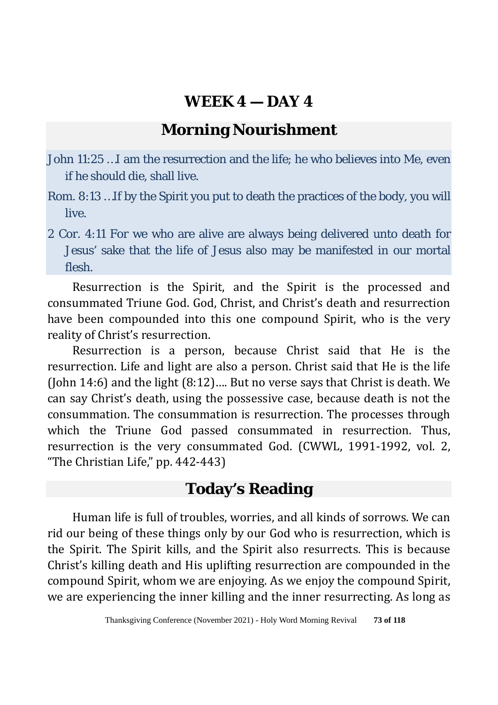### **Morning Nourishment**

- John 11:25 …I am the resurrection and the life; he who believes into Me, even if he should die, shall live.
- Rom. 8:13 …If by the Spirit you put to death the practices of the body, you will live.
- 2 Cor. 4:11 For we who are alive are always being delivered unto death for Jesus' sake that the life of Jesus also may be manifested in our mortal flesh.

Resurrection is the Spirit, and the Spirit is the processed and consummated Triune God. God, Christ, and Christ's death and resurrection have been compounded into this one compound Spirit, who is the very reality of Christ's resurrection.

Resurrection is a person, because Christ said that He is the resurrection. Life and light are also a person. Christ said that He is the life (John 14:6) and the light (8:12)…. But no verse says that Christ is death. We can say Christ's death, using the possessive case, because death is not the consummation. The consummation is resurrection. The processes through which the Triune God passed consummated in resurrection. Thus, resurrection is the very consummated God. (CWWL, 1991-1992, vol. 2, "The Christian Life," pp. 442-443)

#### **Today's Reading**

Human life is full of troubles, worries, and all kinds of sorrows. We can rid our being of these things only by our God who is resurrection, which is the Spirit. The Spirit kills, and the Spirit also resurrects. This is because Christ's killing death and His uplifting resurrection are compounded in the compound Spirit, whom we are enjoying. As we enjoy the compound Spirit, we are experiencing the inner killing and the inner resurrecting. As long as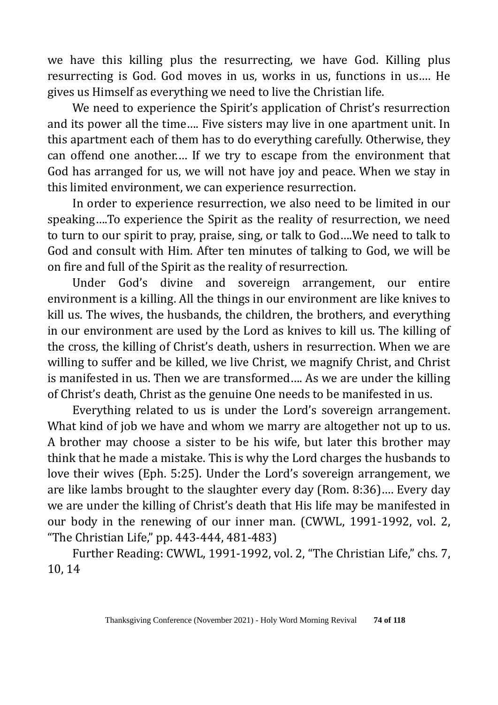we have this killing plus the resurrecting, we have God. Killing plus resurrecting is God. God moves in us, works in us, functions in us…. He gives us Himself as everything we need to live the Christian life.

We need to experience the Spirit's application of Christ's resurrection and its power all the time…. Five sisters may live in one apartment unit. In this apartment each of them has to do everything carefully. Otherwise, they can offend one another.… If we try to escape from the environment that God has arranged for us, we will not have joy and peace. When we stay in this limited environment, we can experience resurrection.

In order to experience resurrection, we also need to be limited in our speaking….To experience the Spirit as the reality of resurrection, we need to turn to our spirit to pray, praise, sing, or talk to God….We need to talk to God and consult with Him. After ten minutes of talking to God, we will be on fire and full of the Spirit as the reality of resurrection.

Under God's divine and sovereign arrangement, our entire environment is a killing. All the things in our environment are like knives to kill us. The wives, the husbands, the children, the brothers, and everything in our environment are used by the Lord as knives to kill us. The killing of the cross, the killing of Christ's death, ushers in resurrection. When we are willing to suffer and be killed, we live Christ, we magnify Christ, and Christ is manifested in us. Then we are transformed…. As we are under the killing of Christ's death, Christ as the genuine One needs to be manifested in us.

Everything related to us is under the Lord's sovereign arrangement. What kind of job we have and whom we marry are altogether not up to us. A brother may choose a sister to be his wife, but later this brother may think that he made a mistake. This is why the Lord charges the husbands to love their wives (Eph. 5:25). Under the Lord's sovereign arrangement, we are like lambs brought to the slaughter every day (Rom. 8:36)…. Every day we are under the killing of Christ's death that His life may be manifested in our body in the renewing of our inner man. (CWWL, 1991-1992, vol. 2, "The Christian Life," pp. 443-444, 481-483)

Further Reading: CWWL, 1991-1992, vol. 2, "The Christian Life," chs. 7, 10, 14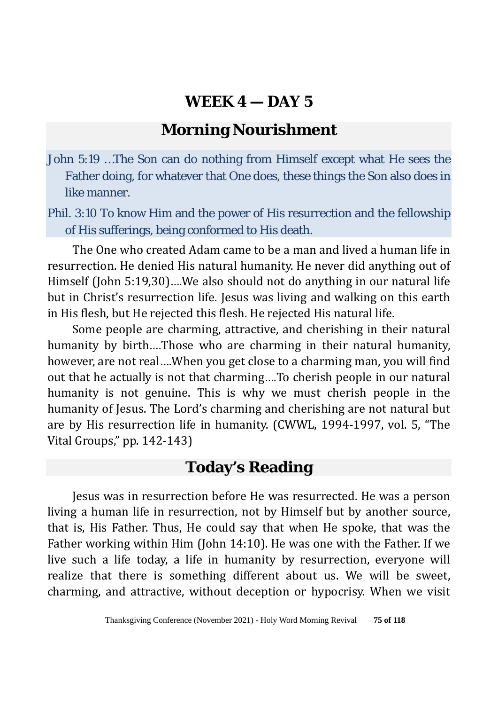### **Morning Nourishment**

- John 5:19 …The Son can do nothing from Himself except what He sees the Father doing, for whatever that One does, these things the Son also does in like manner.
- Phil. 3:10 To know Him and the power of His resurrection and the fellowship of His sufferings, being conformed to His death.

The One who created Adam came to be a man and lived a human life in resurrection. He denied His natural humanity. He never did anything out of Himself (John 5:19,30)….We also should not do anything in our natural life but in Christ's resurrection life. Jesus was living and walking on this earth in His flesh, but He rejected this flesh. He rejected His natural life.

Some people are charming, attractive, and cherishing in their natural humanity by birth….Those who are charming in their natural humanity, however, are not real….When you get close to a charming man, you will find out that he actually is not that charming….To cherish people in our natural humanity is not genuine. This is why we must cherish people in the humanity of Jesus. The Lord's charming and cherishing are not natural but are by His resurrection life in humanity. (CWWL, 1994-1997, vol. 5, "The Vital Groups," pp. 142-143)

#### **Today's Reading**

Jesus was in resurrection before He was resurrected. He was a person living a human life in resurrection, not by Himself but by another source, that is, His Father. Thus, He could say that when He spoke, that was the Father working within Him (John 14:10). He was one with the Father. If we live such a life today, a life in humanity by resurrection, everyone will realize that there is something different about us. We will be sweet, charming, and attractive, without deception or hypocrisy. When we visit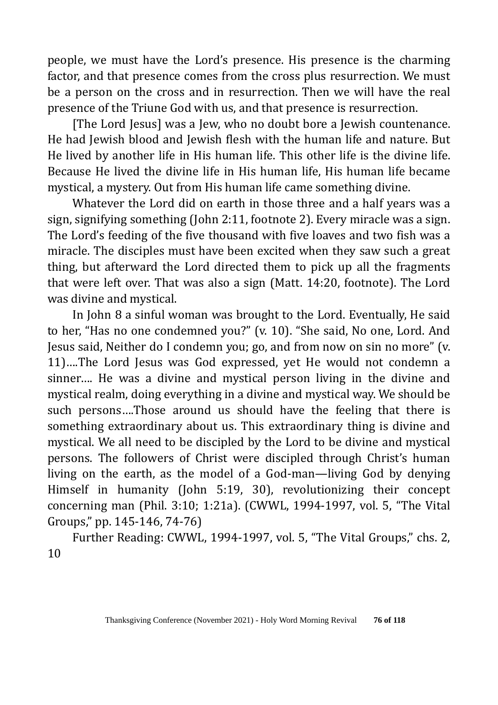people, we must have the Lord's presence. His presence is the charming factor, and that presence comes from the cross plus resurrection. We must be a person on the cross and in resurrection. Then we will have the real presence of the Triune God with us, and that presence is resurrection.

[The Lord Jesus] was a Jew, who no doubt bore a Jewish countenance. He had Jewish blood and Jewish flesh with the human life and nature. But He lived by another life in His human life. This other life is the divine life. Because He lived the divine life in His human life, His human life became mystical, a mystery. Out from His human life came something divine.

Whatever the Lord did on earth in those three and a half years was a sign, signifying something (John 2:11, footnote 2). Every miracle was a sign. The Lord's feeding of the five thousand with five loaves and two fish was a miracle. The disciples must have been excited when they saw such a great thing, but afterward the Lord directed them to pick up all the fragments that were left over. That was also a sign (Matt. 14:20, footnote). The Lord was divine and mystical.

In John 8 a sinful woman was brought to the Lord. Eventually, He said to her, "Has no one condemned you?" (v. 10). "She said, No one, Lord. And Jesus said, Neither do I condemn you; go, and from now on sin no more" (v. 11)….The Lord Jesus was God expressed, yet He would not condemn a sinner…. He was a divine and mystical person living in the divine and mystical realm, doing everything in a divine and mystical way. We should be such persons….Those around us should have the feeling that there is something extraordinary about us. This extraordinary thing is divine and mystical. We all need to be discipled by the Lord to be divine and mystical persons. The followers of Christ were discipled through Christ's human living on the earth, as the model of a God-man—living God by denying Himself in humanity (John 5:19, 30), revolutionizing their concept concerning man (Phil. 3:10; 1:21a). (CWWL, 1994-1997, vol. 5, "The Vital Groups," pp. 145-146, 74-76)

Further Reading: CWWL, 1994-1997, vol. 5, "The Vital Groups," chs. 2, 10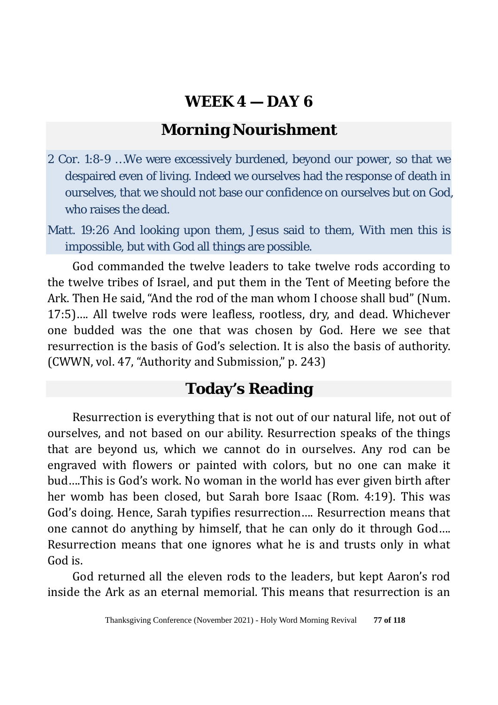# **Morning Nourishment**

- 2 Cor. 1:8-9 …We were excessively burdened, beyond our power, so that we despaired even of living. Indeed we ourselves had the response of death in ourselves, that we should not base our confidence on ourselves but on God, who raises the dead.
- Matt. 19:26 And looking upon them, Jesus said to them, With men this is impossible, but with God all things are possible.

God commanded the twelve leaders to take twelve rods according to the twelve tribes of Israel, and put them in the Tent of Meeting before the Ark. Then He said, "And the rod of the man whom I choose shall bud" (Num. 17:5)…. All twelve rods were leafless, rootless, dry, and dead. Whichever one budded was the one that was chosen by God. Here we see that resurrection is the basis of God's selection. It is also the basis of authority. (CWWN, vol. 47, "Authority and Submission," p. 243)

# **Today's Reading**

Resurrection is everything that is not out of our natural life, not out of ourselves, and not based on our ability. Resurrection speaks of the things that are beyond us, which we cannot do in ourselves. Any rod can be engraved with flowers or painted with colors, but no one can make it bud….This is God's work. No woman in the world has ever given birth after her womb has been closed, but Sarah bore Isaac (Rom. 4:19). This was God's doing. Hence, Sarah typifies resurrection…. Resurrection means that one cannot do anything by himself, that he can only do it through God…. Resurrection means that one ignores what he is and trusts only in what God is.

God returned all the eleven rods to the leaders, but kept Aaron's rod inside the Ark as an eternal memorial. This means that resurrection is an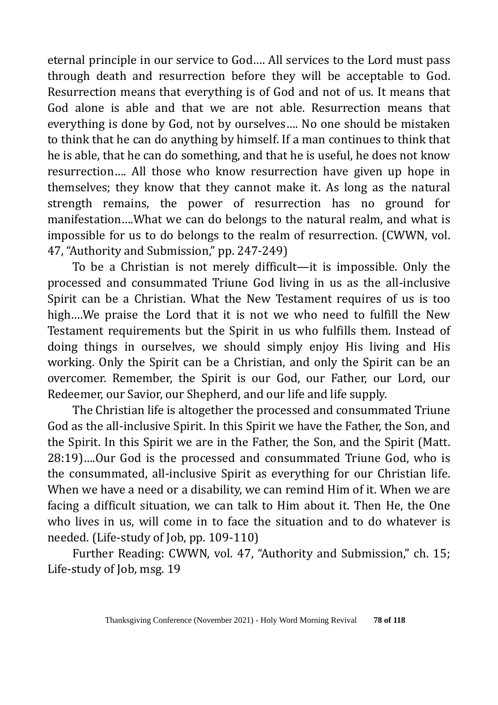eternal principle in our service to God…. All services to the Lord must pass through death and resurrection before they will be acceptable to God. Resurrection means that everything is of God and not of us. It means that God alone is able and that we are not able. Resurrection means that everything is done by God, not by ourselves…. No one should be mistaken to think that he can do anything by himself. If a man continues to think that he is able, that he can do something, and that he is useful, he does not know resurrection…. All those who know resurrection have given up hope in themselves; they know that they cannot make it. As long as the natural strength remains, the power of resurrection has no ground for manifestation….What we can do belongs to the natural realm, and what is impossible for us to do belongs to the realm of resurrection. (CWWN, vol. 47, "Authority and Submission," pp. 247-249)

To be a Christian is not merely difficult—it is impossible. Only the processed and consummated Triune God living in us as the all-inclusive Spirit can be a Christian. What the New Testament requires of us is too high….We praise the Lord that it is not we who need to fulfill the New Testament requirements but the Spirit in us who fulfills them. Instead of doing things in ourselves, we should simply enjoy His living and His working. Only the Spirit can be a Christian, and only the Spirit can be an overcomer. Remember, the Spirit is our God, our Father, our Lord, our Redeemer, our Savior, our Shepherd, and our life and life supply.

The Christian life is altogether the processed and consummated Triune God as the all-inclusive Spirit. In this Spirit we have the Father, the Son, and the Spirit. In this Spirit we are in the Father, the Son, and the Spirit (Matt. 28:19)….Our God is the processed and consummated Triune God, who is the consummated, all-inclusive Spirit as everything for our Christian life. When we have a need or a disability, we can remind Him of it. When we are facing a difficult situation, we can talk to Him about it. Then He, the One who lives in us, will come in to face the situation and to do whatever is needed. (Life-study of Job, pp. 109-110)

Further Reading: CWWN, vol. 47, "Authority and Submission," ch. 15; Life-study of Job, msg. 19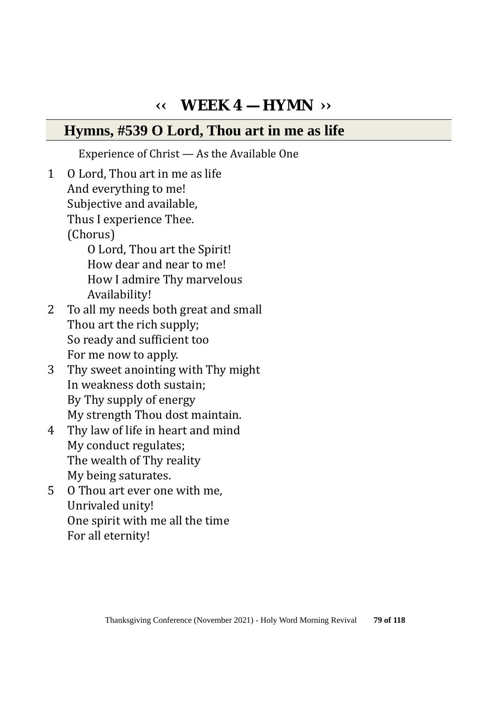# **‹‹ WEEK 4 — HYMN ››**

#### **Hymns, #539 O Lord, Thou art in me as life**

Experience of Christ — As the Available One

- 1 O Lord, Thou art in me as life And everything to me! Subjective and available, Thus I experience Thee. (Chorus) O Lord, Thou art the Spirit! How dear and near to me! How I admire Thy marvelous Availability!<br>2 To all my needs To all my needs both great and small Thou art the rich supply; So ready and sufficient too For me now to apply. 3 Thy sweet anointing with Thy might
- In weakness doth sustain; By Thy supply of energy My strength Thou dost maintain.
- 4 Thy law of life in heart and mind My conduct regulates; The wealth of Thy reality My being saturates.<br>5 O Thou art ever one
- 5 O Thou art ever one with me, Unrivaled unity! One spirit with me all the time For all eternity!